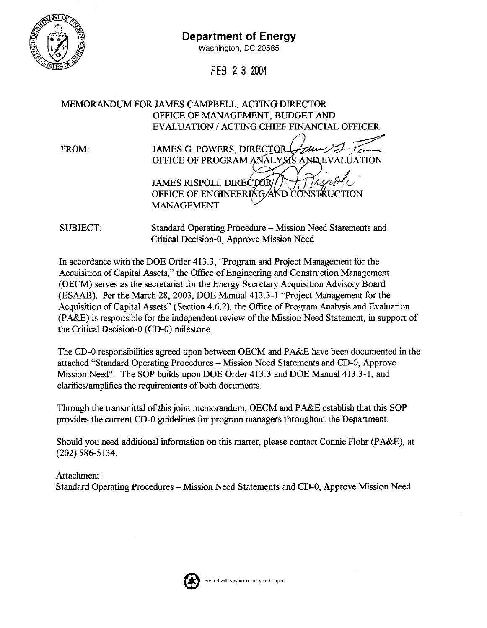

## **Department of Energy**

Washington, DC 20585

FEB 2 3 2004

MEMORANDUM FOR JAMES CAMPBELL, ACTING DIRECTOR OFFICE OF MANAGEMENT, BUDGET AND **EVALUATION / ACTING CHIEF FINANCIAL OFFICER** 

FROM:

| JAMES G. POWERS, DIRECTOR                           |
|-----------------------------------------------------|
| OFFICE OF PROGRAM ANALYSIS<br><b>AND EVALUATION</b> |
| <b>JAMES RISPOLI, DIRECTOR</b>                      |
| OFFICE OF ENGINEERING AND CONSTRUCTION              |
| <b>MANAGEMENT</b>                                   |

Standard Operating Procedure - Mission Need Statements and SUBJECT. Critical Decision-0, Approve Mission Need

In accordance with the DOE Order 413.3, "Program and Project Management for the Acquisition of Capital Assets," the Office of Engineering and Construction Management (OECM) serves as the secretariat for the Energy Secretary Acquisition Advisory Board (ESAAB). Per the March 28, 2003, DOE Manual 413.3-1 "Project Management for the Acquisition of Capital Assets" (Section 4.6.2), the Office of Program Analysis and Evaluation (PA&E) is responsible for the independent review of the Mission Need Statement, in support of the Critical Decision-0 (CD-0) milestone.

The CD-0 responsibilities agreed upon between OECM and PA&E have been documented in the attached "Standard Operating Procedures - Mission Need Statements and CD-0, Approve Mission Need". The SOP builds upon DOE Order 413.3 and DOE Manual 413.3-1, and clarifies/amplifies the requirements of both documents.

Through the transmittal of this joint memorandum, OECM and PA&E establish that this SOP provides the current CD-0 guidelines for program managers throughout the Department.

Should you need additional information on this matter, please contact Connie Flohr (PA&E), at  $(202)$  586-5134.

Attachment: Standard Operating Procedures – Mission Need Statements and CD-0, Approve Mission Need

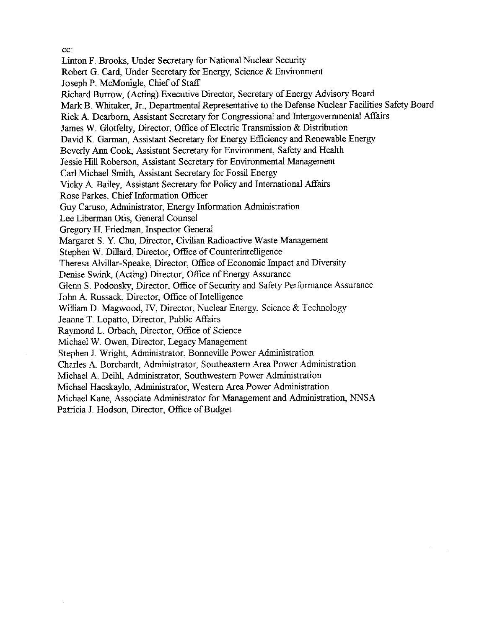cc:

Linton F. Brooks, Under Secretary for National Nuclear Security Robert G. Card, Under Secretary for Energy, Science & Environment Joseph P. McMonigle, Chief of Staff Richard Burrow, (Acting) Executive Director, Secretary of Energy Advisory Board Mark B. Whitaker, Jr., Departmental Representative to the Defense Nuclear Facilities Safety Board Rick A. Dearborn, Assistant Secretary for Congressional and Intergovernmental Affairs James W. Glotfelty, Director, Office of Electric Transmission & Distribution David K. Garman, Assistant Secretary for Energy Efficiency and Renewable Energy Beverly Ann Cook, Assistant Secretary for Environment, Safety and Health Jessie Hill Roberson, Assistant Secretary for Environmental Management Carl Michael Smith, Assistant Secretary for Fossil Energy Vicky A. Bailey, Assistant Secretary for Policy and International Affairs Rose Parkes, Chief Information Officer Guy Caruso, Administrator, Energy Information Administration Lee Liberman Otis, General Counsel Gregory H. Friedman, Inspector General Margaret S. Y. Chu, Director, Civilian Radioactive Waste Management Stephen W. Dillard, Director, Office of Counterintelligence Theresa Alvillar-Speake, Director, Office of Economic Impact and Diversity Denise Swink, (Acting) Director, Office of Energy Assurance Glenn S. Podonsky, Director, Office of Security and Safety Performance Assurance John A. Russack, Director, Office of Intelligence William D. Magwood, IV, Director, Nuclear Energy, Science & Technology Jeanne T. Lopatto, Director, Public Affairs Raymond L. Orbach, Director, Office of Science Michael W. Owen, Director, Legacy Management Stephen J. Wright, Administrator, Bonneville Power Administration Charles A. Borchardt, Administrator, Southeastern Area Power Administration Michael A. Deihl, Administrator, Southwestern Power Administration Michael Hacskaylo, Administrator, Western Area Power Administration Michael Kane, Associate Administrator for Management and Administration, NNSA Patricia J. Hodson, Director, Office of Budget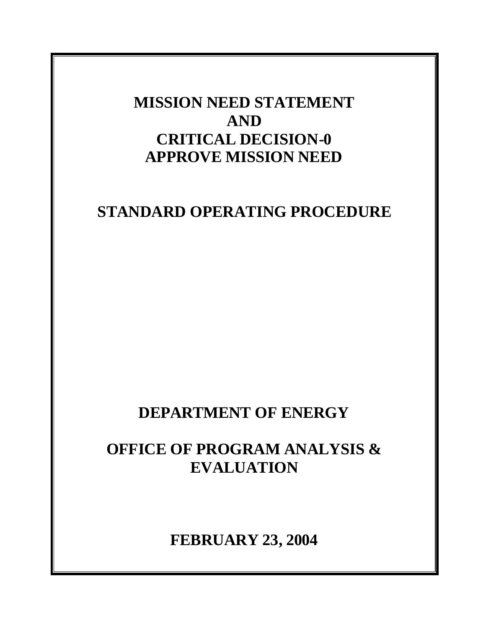## **MISSION NEED STATEMENT AND CRITICAL DECISION-0 APPROVE MISSION NEED**

## **STANDARD OPERATING PROCEDURE**

## **DEPARTMENT OF ENERGY**

# **OFFICE OF PROGRAM ANALYSIS & EVALUATION**

**FEBRUARY 23, 2004**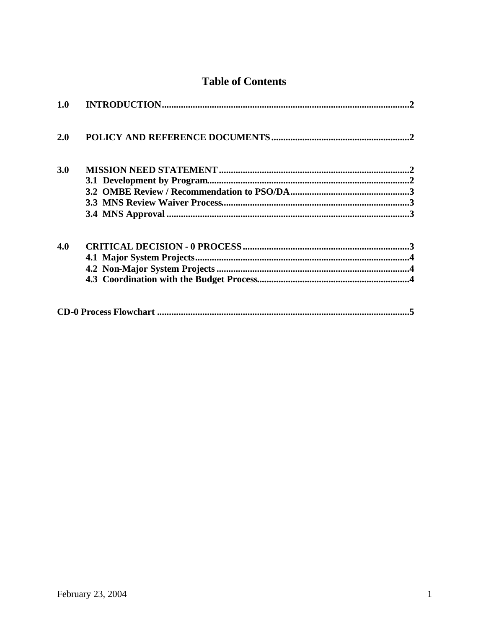## **Table of Contents**

| <b>1.0</b> |  |
|------------|--|
| 2.0        |  |
| <b>3.0</b> |  |
|            |  |
|            |  |
|            |  |
|            |  |
| 4.0        |  |
|            |  |
|            |  |
|            |  |
|            |  |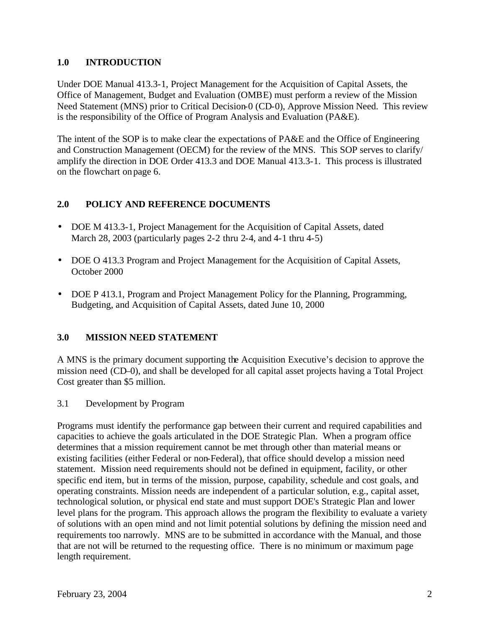### **1.0 INTRODUCTION**

Under DOE Manual 413.3-1, Project Management for the Acquisition of Capital Assets, the Office of Management, Budget and Evaluation (OMBE) must perform a review of the Mission Need Statement (MNS) prior to Critical Decision-0 (CD-0), Approve Mission Need. This review is the responsibility of the Office of Program Analysis and Evaluation (PA&E).

The intent of the SOP is to make clear the expectations of PA&E and the Office of Engineering and Construction Management (OECM) for the review of the MNS. This SOP serves to clarify/ amplify the direction in DOE Order 413.3 and DOE Manual 413.3-1. This process is illustrated on the flowchart on page 6.

## **2.0 POLICY AND REFERENCE DOCUMENTS**

- DOE M 413.3-1, Project Management for the Acquisition of Capital Assets, dated March 28, 2003 (particularly pages 2-2 thru 2-4, and 4-1 thru 4-5)
- DOE O 413.3 Program and Project Management for the Acquisition of Capital Assets, October 2000
- DOE P 413.1, Program and Project Management Policy for the Planning, Programming, Budgeting, and Acquisition of Capital Assets, dated June 10, 2000

## **3.0 MISSION NEED STATEMENT**

A MNS is the primary document supporting the Acquisition Executive's decision to approve the mission need (CD–0), and shall be developed for all capital asset projects having a Total Project Cost greater than \$5 million.

3.1 Development by Program

Programs must identify the performance gap between their current and required capabilities and capacities to achieve the goals articulated in the DOE Strategic Plan. When a program office determines that a mission requirement cannot be met through other than material means or existing facilities (either Federal or non-Federal), that office should develop a mission need statement. Mission need requirements should not be defined in equipment, facility, or other specific end item, but in terms of the mission, purpose, capability, schedule and cost goals, and operating constraints. Mission needs are independent of a particular solution, e.g., capital asset, technological solution, or physical end state and must support DOE's Strategic Plan and lower level plans for the program. This approach allows the program the flexibility to evaluate a variety of solutions with an open mind and not limit potential solutions by defining the mission need and requirements too narrowly. MNS are to be submitted in accordance with the Manual, and those that are not will be returned to the requesting office. There is no minimum or maximum page length requirement.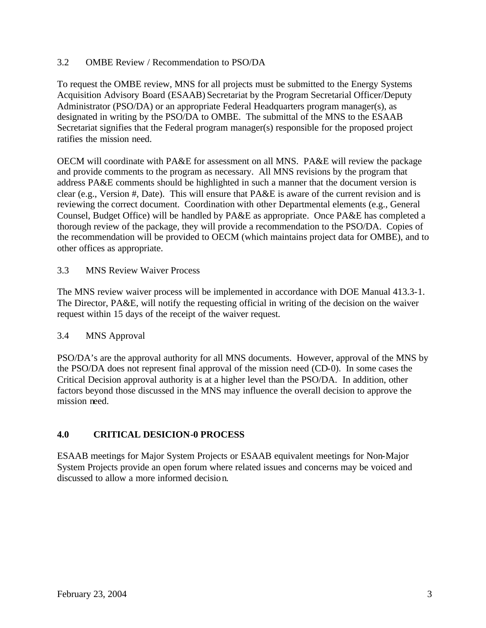#### 3.2 OMBE Review / Recommendation to PSO/DA

To request the OMBE review, MNS for all projects must be submitted to the Energy Systems Acquisition Advisory Board (ESAAB) Secretariat by the Program Secretarial Officer/Deputy Administrator (PSO/DA) or an appropriate Federal Headquarters program manager(s), as designated in writing by the PSO/DA to OMBE. The submittal of the MNS to the ESAAB Secretariat signifies that the Federal program manager(s) responsible for the proposed project ratifies the mission need.

OECM will coordinate with PA&E for assessment on all MNS. PA&E will review the package and provide comments to the program as necessary. All MNS revisions by the program that address PA&E comments should be highlighted in such a manner that the document version is clear (e.g., Version #, Date). This will ensure that PA&E is aware of the current revision and is reviewing the correct document. Coordination with other Departmental elements (e.g., General Counsel, Budget Office) will be handled by PA&E as appropriate. Once PA&E has completed a thorough review of the package, they will provide a recommendation to the PSO/DA. Copies of the recommendation will be provided to OECM (which maintains project data for OMBE), and to other offices as appropriate.

#### 3.3 MNS Review Waiver Process

The MNS review waiver process will be implemented in accordance with DOE Manual 413.3-1. The Director, PA&E, will notify the requesting official in writing of the decision on the waiver request within 15 days of the receipt of the waiver request.

### 3.4 MNS Approval

PSO/DA's are the approval authority for all MNS documents. However, approval of the MNS by the PSO/DA does not represent final approval of the mission need (CD-0). In some cases the Critical Decision approval authority is at a higher level than the PSO/DA. In addition, other factors beyond those discussed in the MNS may influence the overall decision to approve the mission need.

### **4.0 CRITICAL DESICION-0 PROCESS**

ESAAB meetings for Major System Projects or ESAAB equivalent meetings for Non-Major System Projects provide an open forum where related issues and concerns may be voiced and discussed to allow a more informed decision.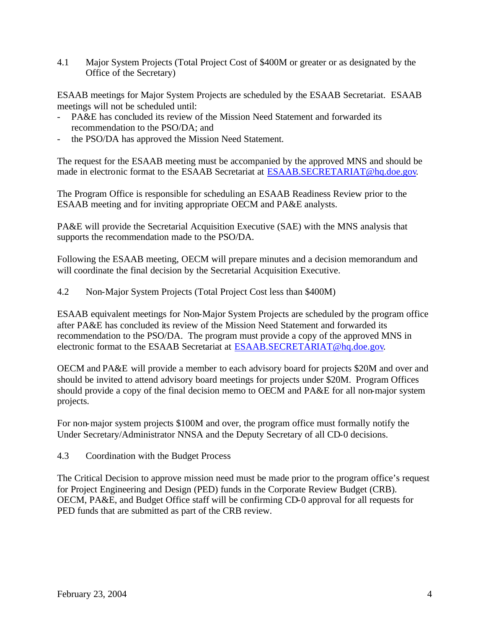4.1 Major System Projects (Total Project Cost of \$400M or greater or as designated by the Office of the Secretary)

ESAAB meetings for Major System Projects are scheduled by the ESAAB Secretariat. ESAAB meetings will not be scheduled until:

- PA&E has concluded its review of the Mission Need Statement and forwarded its recommendation to the PSO/DA; and
- the PSO/DA has approved the Mission Need Statement.

The request for the ESAAB meeting must be accompanied by the approved MNS and should be made in electronic format to the ESAAB Secretariat at ESAAB.SECRETARIAT@hq.doe.gov.

The Program Office is responsible for scheduling an ESAAB Readiness Review prior to the ESAAB meeting and for inviting appropriate OECM and PA&E analysts.

PA&E will provide the Secretarial Acquisition Executive (SAE) with the MNS analysis that supports the recommendation made to the PSO/DA.

Following the ESAAB meeting, OECM will prepare minutes and a decision memorandum and will coordinate the final decision by the Secretarial Acquisition Executive.

4.2 Non-Major System Projects (Total Project Cost less than \$400M)

ESAAB equivalent meetings for Non-Major System Projects are scheduled by the program office after PA&E has concluded its review of the Mission Need Statement and forwarded its recommendation to the PSO/DA. The program must provide a copy of the approved MNS in electronic format to the ESAAB Secretariat at ESAAB.SECRETARIAT@hq.doe.gov.

OECM and PA&E will provide a member to each advisory board for projects \$20M and over and should be invited to attend advisory board meetings for projects under \$20M. Program Offices should provide a copy of the final decision memo to OECM and PA&E for all non-major system projects.

For non-major system projects \$100M and over, the program office must formally notify the Under Secretary/Administrator NNSA and the Deputy Secretary of all CD-0 decisions.

4.3 Coordination with the Budget Process

The Critical Decision to approve mission need must be made prior to the program office's request for Project Engineering and Design (PED) funds in the Corporate Review Budget (CRB). OECM, PA&E, and Budget Office staff will be confirming CD-0 approval for all requests for PED funds that are submitted as part of the CRB review.